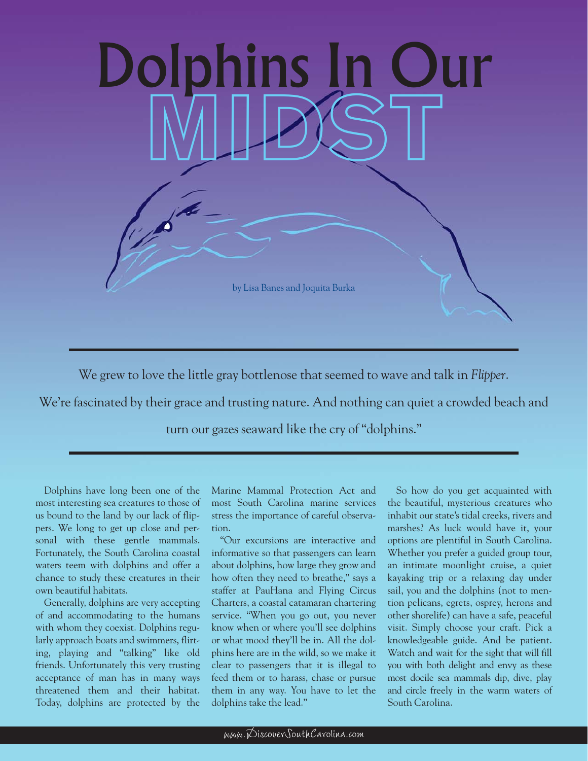

We grew to love the little gray bottlenose that seemed to wave and talk in *Flipper*.

We're fascinated by their grace and trusting nature. And nothing can quiet a crowded beach and

turn our gazes seaward like the cry of "dolphins."

Dolphins have long been one of the most interesting sea creatures to those of us bound to the land by our lack of flippers. We long to get up close and personal with these gentle mammals. Fortunately, the South Carolina coastal waters teem with dolphins and offer a chance to study these creatures in their own beautiful habitats.

Generally, dolphins are very accepting of and accommodating to the humans with whom they coexist. Dolphins regularly approach boats and swimmers, flirting, playing and "talking" like old friends. Unfortunately this very trusting acceptance of man has in many ways threatened them and their habitat. Today, dolphins are protected by the

Marine Mammal Protection Act and most South Carolina marine services stress the importance of careful observation.

"Our excursions are interactive and informative so that passengers can learn about dolphins, how large they grow and how often they need to breathe," says a staffer at PauHana and Flying Circus Charters, a coastal catamaran chartering service. "When you go out, you never know when or where you'll see dolphins or what mood they'll be in. All the dolphins here are in the wild, so we make it clear to passengers that it is illegal to feed them or to harass, chase or pursue them in any way. You have to let the dolphins take the lead."

So how do you get acquainted with the beautiful, mysterious creatures who inhabit our state's tidal creeks, rivers and marshes? As luck would have it, your options are plentiful in South Carolina. Whether you prefer a guided group tour, an intimate moonlight cruise, a quiet kayaking trip or a relaxing day under sail, you and the dolphins (not to mention pelicans, egrets, osprey, herons and other shorelife) can have a safe, peaceful visit. Simply choose your craft. Pick a knowledgeable guide. And be patient. Watch and wait for the sight that will fill you with both delight and envy as these most docile sea mammals dip, dive, play and circle freely in the warm waters of South Carolina.